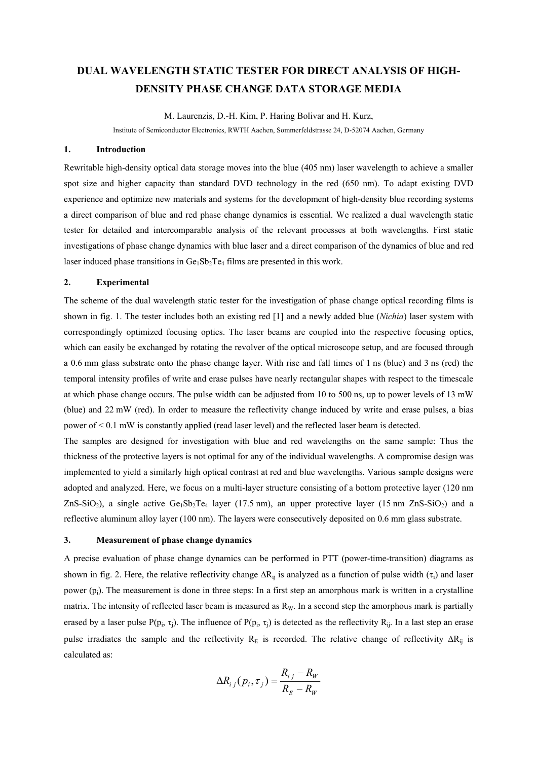## **DUAL WAVELENGTH STATIC TESTER FOR DIRECT ANALYSIS OF HIGH-DENSITY PHASE CHANGE DATA STORAGE MEDIA**

M. Laurenzis, D.-H. Kim, P. Haring Bolivar and H. Kurz,

Institute of Semiconductor Electronics, RWTH Aachen, Sommerfeldstrasse 24, D-52074 Aachen, Germany

## **1. Introduction**

Rewritable high-density optical data storage moves into the blue (405 nm) laser wavelength to achieve a smaller spot size and higher capacity than standard DVD technology in the red (650 nm). To adapt existing DVD experience and optimize new materials and systems for the development of high-density blue recording systems a direct comparison of blue and red phase change dynamics is essential. We realized a dual wavelength static tester for detailed and intercomparable analysis of the relevant processes at both wavelengths. First static investigations of phase change dynamics with blue laser and a direct comparison of the dynamics of blue and red laser induced phase transitions in  $Ge_1Sb_2Te_4$  films are presented in this work.

## **2. Experimental**

The scheme of the dual wavelength static tester for the investigation of phase change optical recording films is shown in fig. 1. The tester includes both an existing red [1] and a newly added blue (*Nichia*) laser system with correspondingly optimized focusing optics. The laser beams are coupled into the respective focusing optics, which can easily be exchanged by rotating the revolver of the optical microscope setup, and are focused through a 0.6 mm glass substrate onto the phase change layer. With rise and fall times of 1 ns (blue) and 3 ns (red) the temporal intensity profiles of write and erase pulses have nearly rectangular shapes with respect to the timescale at which phase change occurs. The pulse width can be adjusted from 10 to 500 ns, up to power levels of 13 mW (blue) and 22 mW (red). In order to measure the reflectivity change induced by write and erase pulses, a bias power of < 0.1 mW is constantly applied (read laser level) and the reflected laser beam is detected.

The samples are designed for investigation with blue and red wavelengths on the same sample: Thus the thickness of the protective layers is not optimal for any of the individual wavelengths. A compromise design was implemented to yield a similarly high optical contrast at red and blue wavelengths. Various sample designs were adopted and analyzed. Here, we focus on a multi-layer structure consisting of a bottom protective layer (120 nm ZnS-SiO<sub>2</sub>), a single active  $Ge_1Sb_2Te_4$  layer (17.5 nm), an upper protective layer (15 nm ZnS-SiO<sub>2</sub>) and a reflective aluminum alloy layer (100 nm). The layers were consecutively deposited on 0.6 mm glass substrate.

## **3. Measurement of phase change dynamics**

A precise evaluation of phase change dynamics can be performed in PTT (power-time-transition) diagrams as shown in fig. 2. Here, the relative reflectivity change  $\Delta R_{ij}$  is analyzed as a function of pulse width ( $\tau$ <sub>i</sub>) and laser power  $(p_i)$ . The measurement is done in three steps: In a first step an amorphous mark is written in a crystalline matrix. The intensity of reflected laser beam is measured as  $R_W$ . In a second step the amorphous mark is partially erased by a laser pulse P( $p_i$ ,  $\tau_i$ ). The influence of P( $p_i$ ,  $\tau_i$ ) is detected as the reflectivity R<sub>ij</sub>. In a last step an erase pulse irradiates the sample and the reflectivity R<sub>E</sub> is recorded. The relative change of reflectivity  $\Delta R_{ii}$  is calculated as:

$$
\Delta R_{ij}(p_i, \tau_j) = \frac{R_{ij} - R_W}{R_E - R_W}
$$